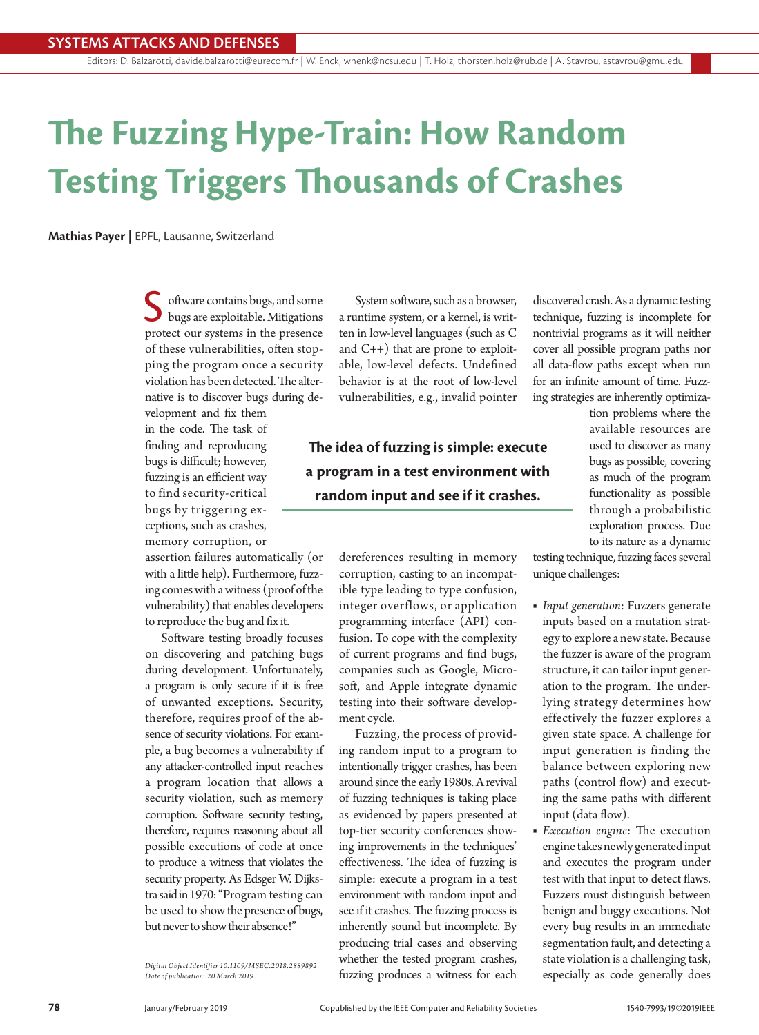# **The Fuzzing Hype-Train: How Random Testing Triggers Thousands of Crashes**

**Mathias Payer |** EPFL, Lausanne, Switzerland

oftware contains bugs, and some bugs are exploitable. Mitigations protect our systems in the presence of these vulnerabilities, often stopping the program once a security violation has been detected. The alternative is to discover bugs during de-

velopment and fix them in the code. The task of finding and reproducing bugs is difficult; however, fuzzing is an efficient way to find security-critical bugs by triggering exceptions, such as crashes, memory corruption, or

assertion failures automatically (or with a little help). Furthermore, fuzzing comes with a witness (proof of the vulnerability) that enables developers to reproduce the bug and fix it.

Software testing broadly focuses on discovering and patching bugs during development. Unfortunately, a program is only secure if it is free of unwanted exceptions. Security, therefore, requires proof of the absence of security violations. For example, a bug becomes a vulnerability if any attacker-controlled input reaches a program location that allows a security violation, such as memory corruption. Software security testing, therefore, requires reasoning about all possible executions of code at once to produce a witness that violates the security property. As Edsger W. Dijkstra said in 1970: "Program testing can be used to show the presence of bugs, but never to show their absence!"

*Digital Object Identifier 10.1109/MSEC.2018.2889892 Date of publication: 20 March 2019*

System software, such as a browser, a runtime system, or a kernel, is written in low-level languages (such as C and C++) that are prone to exploitable, low-level defects. Undefined behavior is at the root of low-level vulnerabilities, e.g., invalid pointer

**The idea of fuzzing is simple: execute a program in a test environment with random input and see if it crashes.**

> dereferences resulting in memory corruption, casting to an incompatible type leading to type confusion, integer overflows, or application programming interface (API) confusion. To cope with the complexity of current programs and find bugs, companies such as Google, Microsoft, and Apple integrate dynamic testing into their software development cycle.

> Fuzzing, the process of providing random input to a program to intentionally trigger crashes, has been around since the early 1980s. A revival of fuzzing techniques is taking place as evidenced by papers presented at top-tier security conferences showing improvements in the techniques' effectiveness. The idea of fuzzing is simple: execute a program in a test environment with random input and see if it crashes. The fuzzing process is inherently sound but incomplete. By producing trial cases and observing whether the tested program crashes, fuzzing produces a witness for each

discovered crash. As a dynamic testing technique, fuzzing is incomplete for nontrivial programs as it will neither cover all possible program paths nor all data-flow paths except when run for an infinite amount of time. Fuzzing strategies are inherently optimiza-

> tion problems where the available resources are used to discover as many bugs as possible, covering as much of the program functionality as possible through a probabilistic exploration process. Due to its nature as a dynamic

testing technique, fuzzing faces several unique challenges:

- *Input generation*: Fuzzers generate inputs based on a mutation strategy to explore a new state. Because the fuzzer is aware of the program structure, it can tailor input generation to the program. The underlying strategy determines how effectively the fuzzer explores a given state space. A challenge for input generation is finding the balance between exploring new paths (control flow) and executing the same paths with different input (data flow).
- *Execution engine*: The execution engine takes newly generated input and executes the program under test with that input to detect flaws. Fuzzers must distinguish between benign and buggy executions. Not every bug results in an immediate segmentation fault, and detecting a state violation is a challenging task, especially as code generally does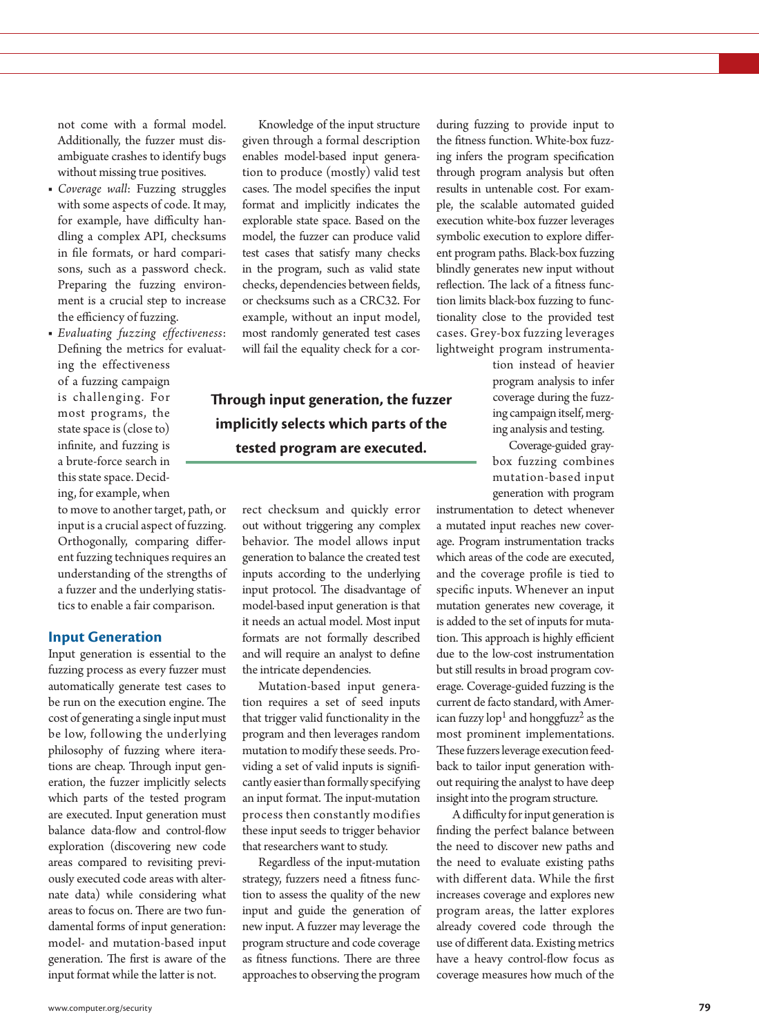not come with a formal model. Additionally, the fuzzer must disambiguate crashes to identify bugs without missing true positives.

- *Coverage wall*: Fuzzing struggles with some aspects of code. It may, for example, have difficulty handling a complex API, checksums in file formats, or hard comparisons, such as a password check. Preparing the fuzzing environment is a crucial step to increase the efficiency of fuzzing.
- *Evaluating fuzzing effectiveness*: Defining the metrics for evaluating the effectiveness of a fuzzing campaign is challenging. For most programs, the state space is (close to) infinite, and fuzzing is a brute-force search in this state space. Deciding, for example, when

to move to another target, path, or input is a crucial aspect of fuzzing. Orthogonally, comparing different fuzzing techniques requires an understanding of the strengths of a fuzzer and the underlying statistics to enable a fair comparison.

#### **Input Generation**

Input generation is essential to the fuzzing process as every fuzzer must automatically generate test cases to be run on the execution engine. The cost of generating a single input must be low, following the underlying philosophy of fuzzing where iterations are cheap. Through input generation, the fuzzer implicitly selects which parts of the tested program are executed. Input generation must balance data-flow and control-flow exploration (discovering new code areas compared to revisiting previously executed code areas with alternate data) while considering what areas to focus on. There are two fundamental forms of input generation: model- and mutation-based input generation. The first is aware of the input format while the latter is not.

Knowledge of the input structure given through a formal description enables model-based input generation to produce (mostly) valid test cases. The model specifies the input format and implicitly indicates the explorable state space. Based on the model, the fuzzer can produce valid test cases that satisfy many checks in the program, such as valid state checks, dependencies between fields, or checksums such as a CRC32. For example, without an input model, most randomly generated test cases will fail the equality check for a cor-

## **Through input generation, the fuzzer implicitly selects which parts of the tested program are executed.**

rect checksum and quickly error out without triggering any complex behavior. The model allows input generation to balance the created test inputs according to the underlying input protocol. The disadvantage of model-based input generation is that it needs an actual model. Most input formats are not formally described and will require an analyst to define the intricate dependencies.

Mutation-based input generation requires a set of seed inputs that trigger valid functionality in the program and then leverages random mutation to modify these seeds. Providing a set of valid inputs is significantly easier than formally specifying an input format. The input-mutation process then constantly modifies these input seeds to trigger behavior that researchers want to study.

Regardless of the input-mutation strategy, fuzzers need a fitness function to assess the quality of the new input and guide the generation of new input. A fuzzer may leverage the program structure and code coverage as fitness functions. There are three approaches to observing the program

during fuzzing to provide input to the fitness function. White-box fuzzing infers the program specification through program analysis but often results in untenable cost. For example, the scalable automated guided execution white-box fuzzer leverages symbolic execution to explore different program paths. Black-box fuzzing blindly generates new input without reflection. The lack of a fitness function limits black-box fuzzing to functionality close to the provided test cases. Grey-box fuzzing leverages lightweight program instrumenta-

tion instead of heavier program analysis to infer coverage during the fuzzing campaign itself, merging analysis and testing.

Coverage-guided graybox fuzzing combines mutation-based input generation with program

instrumentation to detect whenever a mutated input reaches new coverage. Program instrumentation tracks which areas of the code are executed, and the coverage profile is tied to specific inputs. Whenever an input mutation generates new coverage, it is added to the set of inputs for mutation. This approach is highly efficient due to the low-cost instrumentation but still results in broad program coverage. Coverage-guided fuzzing is the current de facto standard, with American fuzzy  $\text{lop}^1$  and honggfuzz<sup>2</sup> as the most prominent implementations. These fuzzers leverage execution feedback to tailor input generation without requiring the analyst to have deep insight into the program structure.

A difficulty for input generation is finding the perfect balance between the need to discover new paths and the need to evaluate existing paths with different data. While the first increases coverage and explores new program areas, the latter explores already covered code through the use of different data. Existing metrics have a heavy control-flow focus as coverage measures how much of the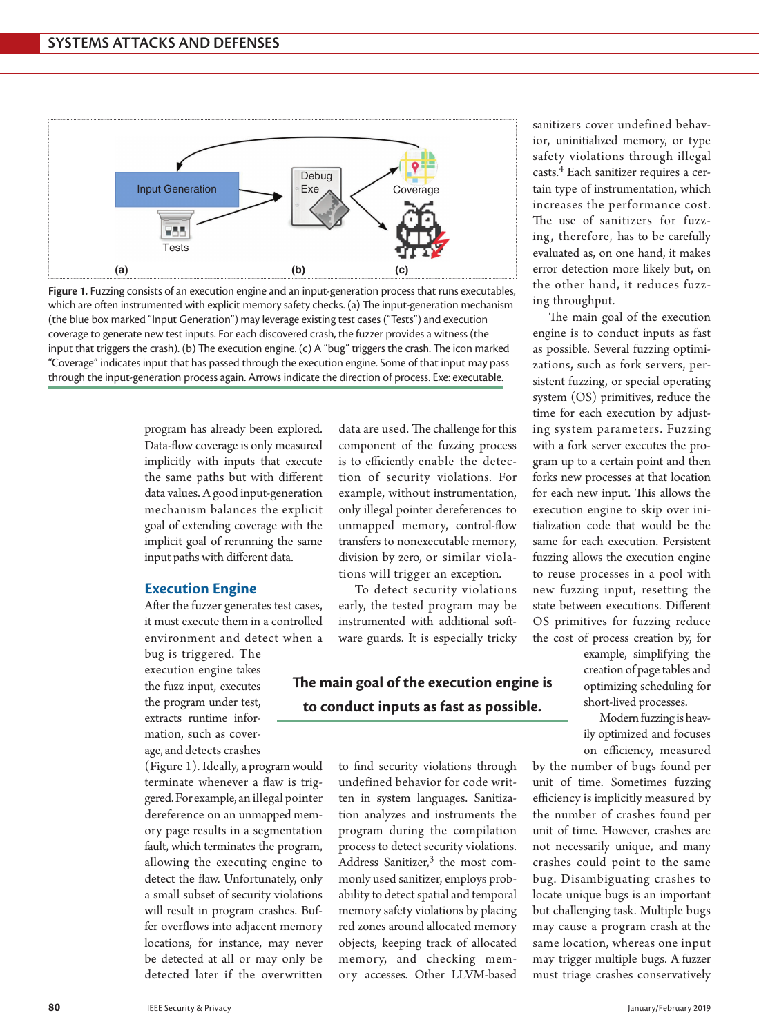

**Figure 1.** Fuzzing consists of an execution engine and an input-generation process that runs executables, which are often instrumented with explicit memory safety checks. (a) The input-generation mechanism (the blue box marked "Input Generation") may leverage existing test cases ("Tests") and execution coverage to generate new test inputs. For each discovered crash, the fuzzer provides a witness (the input that triggers the crash). (b) The execution engine. (c) A "bug" triggers the crash. The icon marked "Coverage" indicates input that has passed through the execution engine. Some of that input may pass through the input-generation process again. Arrows indicate the direction of process. Exe: executable.

> program has already been explored. Data-flow coverage is only measured implicitly with inputs that execute the same paths but with different data values. A good input-generation mechanism balances the explicit goal of extending coverage with the implicit goal of rerunning the same input paths with different data.

#### **Execution Engine**

After the fuzzer generates test cases, it must execute them in a controlled environment and detect when a

bug is triggered. The execution engine takes the fuzz input, executes the program under test, extracts runtime information, such as coverage, and detects crashes

(Figure 1). Ideally, a program would terminate whenever a flaw is triggered. For example, an illegal pointer dereference on an unmapped memory page results in a segmentation fault, which terminates the program, allowing the executing engine to detect the flaw. Unfortunately, only a small subset of security violations will result in program crashes. Buffer overflows into adjacent memory locations, for instance, may never be detected at all or may only be detected later if the overwritten

data are used. The challenge for this component of the fuzzing process is to efficiently enable the detection of security violations. For example, without instrumentation, only illegal pointer dereferences to unmapped memory, control-flow transfers to nonexecutable memory, division by zero, or similar violations will trigger an exception.

To detect security violations early, the tested program may be instrumented with additional software guards. It is especially tricky

## **The main goal of the execution engine is to conduct inputs as fast as possible.**

to find security violations through undefined behavior for code written in system languages. Sanitization analyzes and instruments the program during the compilation process to detect security violations. Address Sanitizer, $3$  the most commonly used sanitizer, employs probability to detect spatial and temporal memory safety violations by placing red zones around allocated memory objects, keeping track of allocated memory, and checking memory accesses. Other LLVM-based

sanitizers cover undefined behavior, uninitialized memory, or type safety violations through illegal casts.4 Each sanitizer requires a certain type of instrumentation, which increases the performance cost. The use of sanitizers for fuzzing, therefore, has to be carefully evaluated as, on one hand, it makes error detection more likely but, on the other hand, it reduces fuzzing throughput.

The main goal of the execution engine is to conduct inputs as fast as possible. Several fuzzing optimizations, such as fork servers, persistent fuzzing, or special operating system (OS) primitives, reduce the time for each execution by adjusting system parameters. Fuzzing with a fork server executes the program up to a certain point and then forks new processes at that location for each new input. This allows the execution engine to skip over initialization code that would be the same for each execution. Persistent fuzzing allows the execution engine to reuse processes in a pool with new fuzzing input, resetting the state between executions. Different OS primitives for fuzzing reduce the cost of process creation by, for

> example, simplifying the creation of page tables and optimizing scheduling for short-lived processes.

> Modern fuzzing is heavily optimized and focuses on efficiency, measured

by the number of bugs found per unit of time. Sometimes fuzzing efficiency is implicitly measured by the number of crashes found per unit of time. However, crashes are not necessarily unique, and many crashes could point to the same bug. Disambiguating crashes to locate unique bugs is an important but challenging task. Multiple bugs may cause a program crash at the same location, whereas one input may trigger multiple bugs. A fuzzer must triage crashes conservatively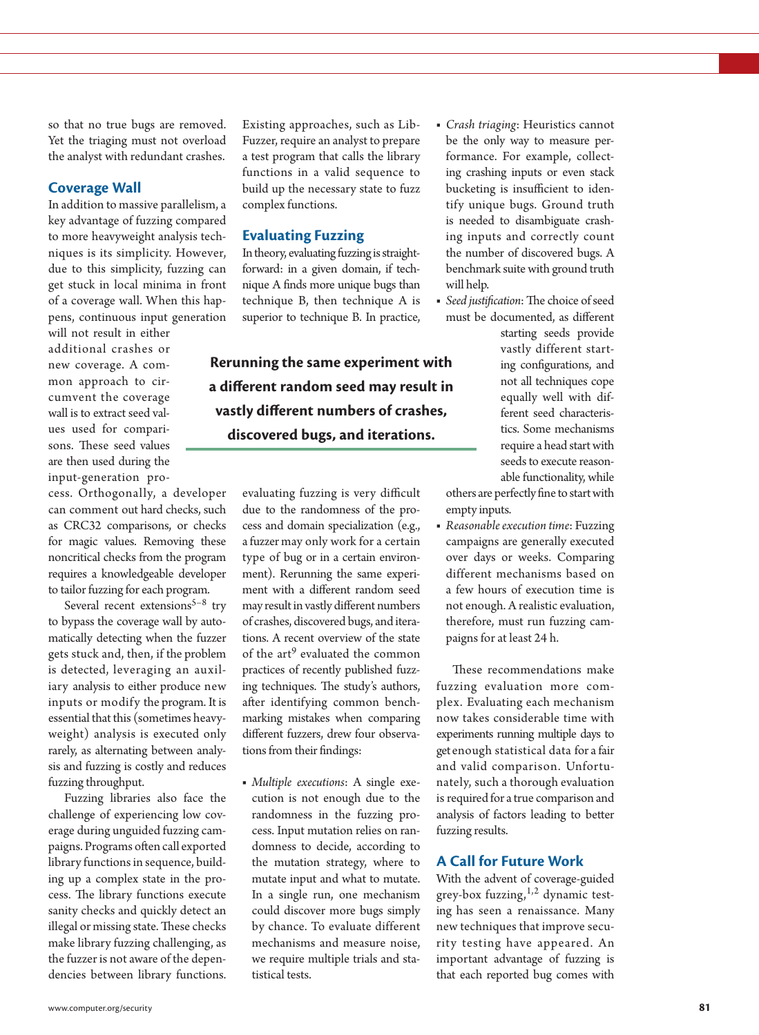so that no true bugs are removed. Yet the triaging must not overload the analyst with redundant crashes.

#### **Coverage Wall**

In addition to massive parallelism, a key advantage of fuzzing compared to more heavyweight analysis techniques is its simplicity. However, due to this simplicity, fuzzing can get stuck in local minima in front of a coverage wall. When this happens, continuous input generation

will not result in either additional crashes or new coverage. A common approach to circumvent the coverage wall is to extract seed values used for comparisons. These seed values are then used during the input-generation pro-

cess. Orthogonally, a developer can comment out hard checks, such as CRC32 comparisons, or checks for magic values. Removing these noncritical checks from the program requires a knowledgeable developer to tailor fuzzing for each program.

Several recent extensions<sup>5-8</sup> try to bypass the coverage wall by automatically detecting when the fuzzer gets stuck and, then, if the problem is detected, leveraging an auxiliary analysis to either produce new inputs or modify the program. It is essential that this (sometimes heavyweight) analysis is executed only rarely, as alternating between analysis and fuzzing is costly and reduces fuzzing throughput.

Fuzzing libraries also face the challenge of experiencing low coverage during unguided fuzzing campaigns. Programs often call exported library functions in sequence, building up a complex state in the process. The library functions execute sanity checks and quickly detect an illegal or missing state. These checks make library fuzzing challenging, as the fuzzer is not aware of the dependencies between library functions.

Existing approaches, such as Lib-Fuzzer, require an analyst to prepare a test program that calls the library functions in a valid sequence to build up the necessary state to fuzz complex functions.

### **Evaluating Fuzzing**

In theory, evaluating fuzzing is straightforward: in a given domain, if technique A finds more unique bugs than technique B, then technique A is superior to technique B. In practice,

**Rerunning the same experiment with a different random seed may result in vastly different numbers of crashes, discovered bugs, and iterations.**

> evaluating fuzzing is very difficult due to the randomness of the process and domain specialization (e.g., a fuzzer may only work for a certain type of bug or in a certain environment). Rerunning the same experiment with a different random seed may result in vastly different numbers of crashes, discovered bugs, and iterations. A recent overview of the state of the art<sup>9</sup> evaluated the common practices of recently published fuzzing techniques. The study's authors, after identifying common benchmarking mistakes when comparing different fuzzers, drew four observations from their findings:

■ *Multiple executions*: A single execution is not enough due to the randomness in the fuzzing process. Input mutation relies on randomness to decide, according to the mutation strategy, where to mutate input and what to mutate. In a single run, one mechanism could discover more bugs simply by chance. To evaluate different mechanisms and measure noise, we require multiple trials and statistical tests.

- *Crash triaging*: Heuristics cannot be the only way to measure performance. For example, collecting crashing inputs or even stack bucketing is insufficient to identify unique bugs. Ground truth is needed to disambiguate crashing inputs and correctly count the number of discovered bugs. A benchmark suite with ground truth will help.
- *Seed justification*: The choice of seed must be documented, as different starting seeds provide vastly different starting configurations, and not all techniques cope equally well with different seed characteristics. Some mechanisms require a head start with seeds to execute reasonable functionality, while

others are perfectly fine to start with empty inputs.

■ *Reasonable execution time*: Fuzzing campaigns are generally executed over days or weeks. Comparing different mechanisms based on a few hours of execution time is not enough. A realistic evaluation, therefore, must run fuzzing campaigns for at least 24 h.

These recommendations make fuzzing evaluation more complex. Evaluating each mechanism now takes considerable time with experiments running multiple days to get enough statistical data for a fair and valid comparison. Unfortunately, such a thorough evaluation is required for a true comparison and analysis of factors leading to better fuzzing results.

#### **A Call for Future Work**

With the advent of coverage-guided grey-box fuzzing,  $1,2$  dynamic testing has seen a renaissance. Many new techniques that improve security testing have appeared. An important advantage of fuzzing is that each reported bug comes with